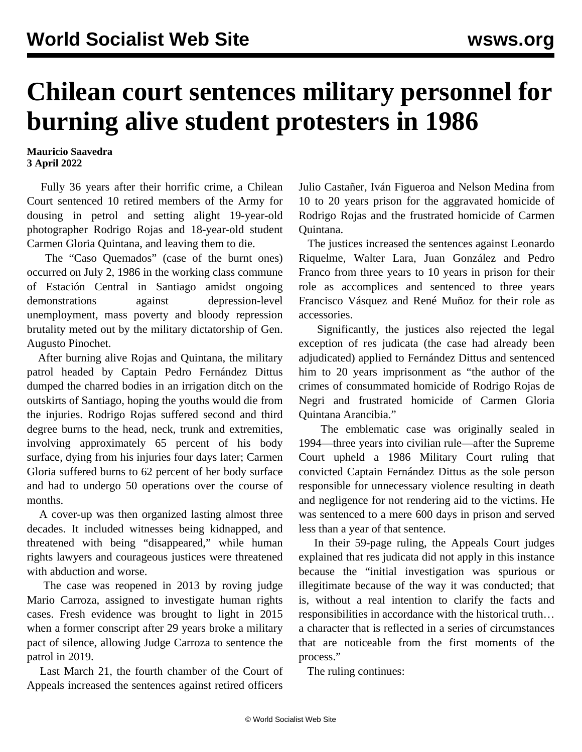## **Chilean court sentences military personnel for burning alive student protesters in 1986**

## **Mauricio Saavedra 3 April 2022**

 Fully 36 years after their horrific crime, a Chilean Court sentenced 10 retired members of the Army for dousing in petrol and setting alight 19-year-old photographer Rodrigo Rojas and 18-year-old student Carmen Gloria Quintana, and leaving them to die.

 The "Caso Quemados" (case of the burnt ones) occurred on July 2, 1986 in the working class commune of Estación Central in Santiago amidst ongoing demonstrations against depression-level unemployment, mass poverty and bloody repression brutality meted out by the military dictatorship of Gen. Augusto Pinochet.

 After burning alive Rojas and Quintana, the military patrol headed by Captain Pedro Fernández Dittus dumped the charred bodies in an irrigation ditch on the outskirts of Santiago, hoping the youths would die from the injuries. Rodrigo Rojas suffered second and third degree burns to the head, neck, trunk and extremities, involving approximately 65 percent of his body surface, dying from his injuries four days later; Carmen Gloria suffered burns to 62 percent of her body surface and had to undergo 50 operations over the course of months.

 A cover-up was then organized lasting almost three decades. It included witnesses being kidnapped, and threatened with being "disappeared," while human rights lawyers and courageous justices were threatened with abduction and worse.

 The case was reopened in 2013 by roving judge Mario Carroza, assigned to investigate human rights cases. Fresh evidence was brought to light in 2015 when a former conscript after 29 years broke a military pact of silence, allowing Judge Carroza to sentence the patrol in 2019.

 Last March 21, the fourth chamber of the Court of Appeals increased the sentences against retired officers

Julio Castañer, Iván Figueroa and Nelson Medina from 10 to 20 years prison for the aggravated homicide of Rodrigo Rojas and the frustrated homicide of Carmen Quintana.

 The justices increased the sentences against Leonardo Riquelme, Walter Lara, Juan González and Pedro Franco from three years to 10 years in prison for their role as accomplices and sentenced to three years Francisco Vásquez and René Muñoz for their role as accessories.

 Significantly, the justices also rejected the legal exception of res judicata (the case had already been adjudicated) applied to Fernández Dittus and sentenced him to 20 years imprisonment as "the author of the crimes of consummated homicide of Rodrigo Rojas de Negri and frustrated homicide of Carmen Gloria Quintana Arancibia."

 The emblematic case was originally sealed in 1994—three years into civilian rule—after the Supreme Court upheld a 1986 Military Court ruling that convicted Captain Fernández Dittus as the sole person responsible for unnecessary violence resulting in death and negligence for not rendering aid to the victims. He was sentenced to a mere 600 days in prison and served less than a year of that sentence.

 In their 59-page ruling, the Appeals Court judges explained that res judicata did not apply in this instance because the "initial investigation was spurious or illegitimate because of the way it was conducted; that is, without a real intention to clarify the facts and responsibilities in accordance with the historical truth… a character that is reflected in a series of circumstances that are noticeable from the first moments of the process."

The ruling continues: